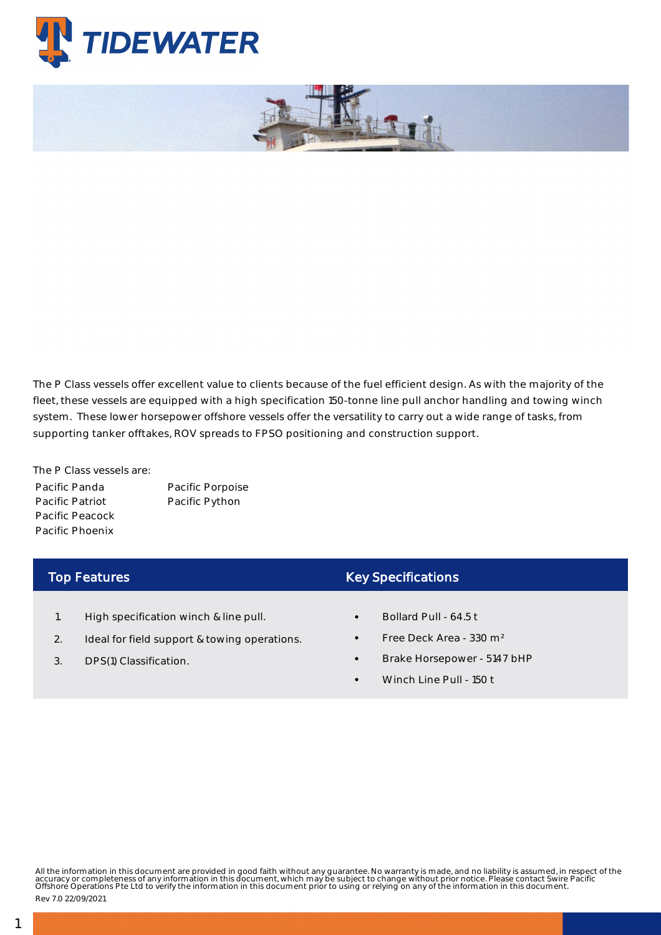

The P Class vessels offer excellent value to clients because of the fuel efficient design. As with the majority of the fleet, these vessels are equipped with a high specification 150-tonne line pull anchor handling and towing winch system. These lower horsepower offshore vessels offer the versatility to carry out a wide range of tasks, from supporting tanker offtakes, ROV spreads to FPSO positioning and construction support.

The P Class vessels are: Pacific Panda Pacific Patriot Pacific Peacock Pacific Phoenix

Pacific Porpoise Pacific Python

## Top Features

- 1. High specification winch & line pull.
- 2. Ideal for field support & towing operations.
- 3. DPS(1) Classification.

## Key Specifications

- Bollard Pull 64.5 t
- Free Deck Area 330 m²
- Brake Horsepower 5147 bHP
- Winch Line Pull 150 t

All the information in this document are provided in good faith without any guarantee. No warranty is made, and no liability is assumed, in respect of the<br>accuracy or completeness of any information in this document, which

Rev 7.0 22/09/2021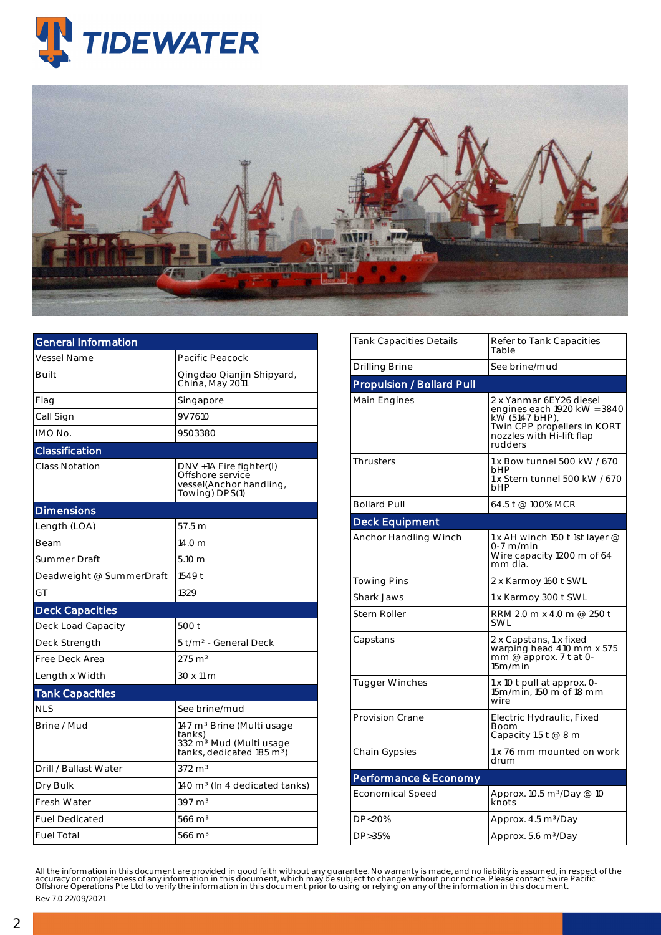



| <b>General Information</b> |                                                                                                                                 |  |  |  |  |
|----------------------------|---------------------------------------------------------------------------------------------------------------------------------|--|--|--|--|
| <b>Vessel Name</b>         | Pacific Peacock                                                                                                                 |  |  |  |  |
| <b>Built</b>               | Qingdao Qianjin Shipyard,<br>China, May 2011                                                                                    |  |  |  |  |
| Flag                       | Singapore                                                                                                                       |  |  |  |  |
| Call Sign                  | 9V7610                                                                                                                          |  |  |  |  |
| IMO No.                    | 9503380                                                                                                                         |  |  |  |  |
| Classification             |                                                                                                                                 |  |  |  |  |
| <b>Class Notation</b>      | DNV +1A Fire fighter(I)<br>Offshore service<br>vessel(Anchor handling,<br>Towing) DPS(1)                                        |  |  |  |  |
| <b>Dimensions</b>          |                                                                                                                                 |  |  |  |  |
| Length (LOA)               | 57.5 m                                                                                                                          |  |  |  |  |
| <b>Beam</b>                | 14.0 <sub>m</sub>                                                                                                               |  |  |  |  |
| Summer Draft               | $5.10 \text{ m}$                                                                                                                |  |  |  |  |
| Deadweight @ SummerDraft   | 1549 t                                                                                                                          |  |  |  |  |
| GT                         | 1329                                                                                                                            |  |  |  |  |
| <b>Deck Capacities</b>     |                                                                                                                                 |  |  |  |  |
| Deck Load Capacity         | 500 t                                                                                                                           |  |  |  |  |
| Deck Strength              | 5 t/m <sup>2</sup> - General Deck                                                                                               |  |  |  |  |
| Free Deck Area             | $275 \text{ m}^2$                                                                                                               |  |  |  |  |
| Length x Width             | 30 x 11 m                                                                                                                       |  |  |  |  |
| <b>Tank Capacities</b>     |                                                                                                                                 |  |  |  |  |
| <b>NLS</b>                 | See brine/mud                                                                                                                   |  |  |  |  |
| Brine / Mud                | 147 m <sup>3</sup> Brine (Multi usage<br>tanks)<br>332 m <sup>3</sup> Mud (Multi usage<br>tanks, dedicated 185 m <sup>3</sup> ) |  |  |  |  |
| Drill / Ballast Water      | $372 \text{ m}^3$                                                                                                               |  |  |  |  |
| Dry Bulk                   | 140 m <sup>3</sup> (In 4 dedicated tanks)                                                                                       |  |  |  |  |
| Fresh Water                | 397 m <sup>3</sup>                                                                                                              |  |  |  |  |
| <b>Fuel Dedicated</b>      | $566 \text{ m}^3$                                                                                                               |  |  |  |  |
| <b>Fuel Total</b>          | $566 \text{ m}^3$                                                                                                               |  |  |  |  |

| <b>Tank Capacities Details</b>   | Refer to Tank Capacities<br>Table                                                                                                               |  |  |  |  |  |  |
|----------------------------------|-------------------------------------------------------------------------------------------------------------------------------------------------|--|--|--|--|--|--|
| Drilling Brine                   | See brine/mud                                                                                                                                   |  |  |  |  |  |  |
| <b>Propulsion / Bollard Pull</b> |                                                                                                                                                 |  |  |  |  |  |  |
| Main Engines                     | 2 x Yanmar 6EY26 diesel<br>engines each 1920 kW = 3840<br>kW (5147 bHP),<br>Twin CPP propellers in KORT<br>nozzles with Hi-lift flap<br>rudders |  |  |  |  |  |  |
| <b>Thrusters</b>                 | 1 x Bow tunnel 500 kW / 670<br><b>bHP</b><br>1 x Stern tunnel 500 kW / 670<br><b>bHP</b>                                                        |  |  |  |  |  |  |
| <b>Bollard Pull</b>              | 64.5 t @ 100% MCR                                                                                                                               |  |  |  |  |  |  |
| <b>Deck Equipment</b>            |                                                                                                                                                 |  |  |  |  |  |  |
| Anchor Handling Winch            | 1 x AH winch 150 t 1st layer @<br>$0-7$ m/min<br>Wire capacity 1200 m of 64<br>mm dia.                                                          |  |  |  |  |  |  |
| <b>Towing Pins</b>               | 2 x Karmoy 160 t SWL                                                                                                                            |  |  |  |  |  |  |
| Shark Jaws                       | 1 x Karmoy 300 t SWL                                                                                                                            |  |  |  |  |  |  |
| Stern Roller                     | RRM 2.0 m x 4.0 m @ 250 t<br>SWL                                                                                                                |  |  |  |  |  |  |
| Capstans                         | 2 x Capstans, 1 x fixed<br>warping head 410 mm x 575<br>mm @ approx. 7 t at 0-<br>15m/min                                                       |  |  |  |  |  |  |
| Tugger Winches                   | 1 x 10 t pull at approx. 0-<br>15m/min, 150 m of 18 mm<br>wire                                                                                  |  |  |  |  |  |  |
| <b>Provision Crane</b>           | Electric Hydraulic, Fixed<br>Boom<br>Capacity 1.5 t @ 8 m                                                                                       |  |  |  |  |  |  |
| Chain Gypsies                    | 1 x 76 mm mounted on work<br>drum                                                                                                               |  |  |  |  |  |  |
| Performance & Economy            |                                                                                                                                                 |  |  |  |  |  |  |
| <b>Economical Speed</b>          | Approx. 10.5 m <sup>3</sup> /Day @ 10<br>knots                                                                                                  |  |  |  |  |  |  |
| DP<20%                           | Approx. 4.5 m <sup>3</sup> /Day                                                                                                                 |  |  |  |  |  |  |
| DP>35%                           | Approx. 5.6 m <sup>3</sup> /Day                                                                                                                 |  |  |  |  |  |  |

All the information in this document are provided in good faith without any guarantee. No warranty is made, and no liability is assumed, in respect of the<br>accuracy or completeness of any information in this document, which Rev 7.0 22/09/2021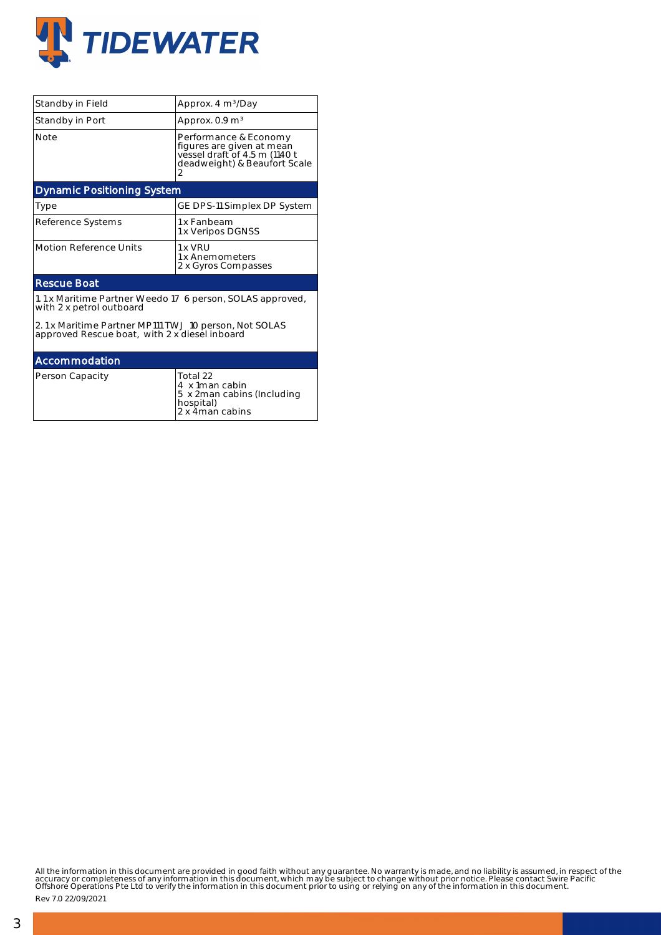

| Standby in Field                                                                                       | Approx. 4 m <sup>3</sup> /Day                                                                                            |  |  |  |  |  |
|--------------------------------------------------------------------------------------------------------|--------------------------------------------------------------------------------------------------------------------------|--|--|--|--|--|
| Standby in Port                                                                                        | Approx. $0.9 \text{ m}^3$                                                                                                |  |  |  |  |  |
| <b>Note</b>                                                                                            | Performance & Economy<br>figures are given at mean<br>vessel draft of 4.5 m (1140 t<br>deadweight) & Beaufort Scale<br>2 |  |  |  |  |  |
| <b>Dynamic Positioning System</b>                                                                      |                                                                                                                          |  |  |  |  |  |
| Type                                                                                                   | GE DPS-11 Simplex DP System                                                                                              |  |  |  |  |  |
| Reference Systems                                                                                      | 1 x Fanbeam<br>1 x Veripos DGNSS                                                                                         |  |  |  |  |  |
| <b>Motion Reference Units</b>                                                                          | 1 x VRU<br>1 x Anemometers<br>2 x Gyros Compasses                                                                        |  |  |  |  |  |
| <b>Rescue Boat</b>                                                                                     |                                                                                                                          |  |  |  |  |  |
| 1.1 x Maritime Partner Weedo 17 6 person, SOLAS approved,<br>with 2 x petrol outboard                  |                                                                                                                          |  |  |  |  |  |
| 2.1 x Maritime Partner MP111 TWJ 10 person, Not SOLAS<br>approved Rescue boat, with 2 x diesel inboard |                                                                                                                          |  |  |  |  |  |
| Accommodation                                                                                          |                                                                                                                          |  |  |  |  |  |
| Person Capacity                                                                                        | Total 22<br>4 x 1man cabin<br>5 x 2man cabins (Including<br>hospital)<br>2 x 4man cabins                                 |  |  |  |  |  |

All the information in this document are provided in good faith without any guarantee. No warranty is made, and no liability is assumed, in respect of the<br>accuracy or completeness of any information in this document, which

Rev 7.0 22/09/2021